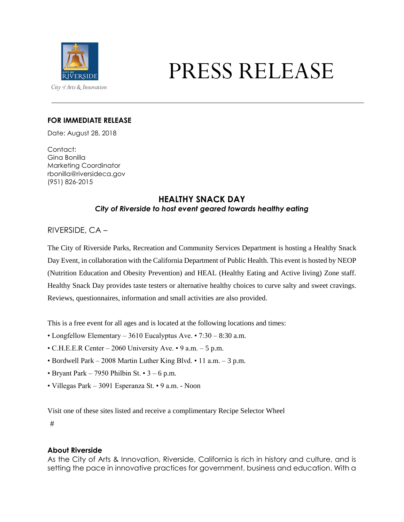

# PRESS RELEASE

#### **FOR IMMEDIATE RELEASE**

Date: August 28, 2018

Contact: Gina Bonilla Marketing Coordinator rbonilla@riversideca.gov (951) 826-2015

## **HEALTHY SNACK DAY** *City of Riverside to host event geared towards healthy eating*

## RIVERSIDE, CA –

The City of Riverside Parks, Recreation and Community Services Department is hosting a Healthy Snack Day Event, in collaboration with the California Department of Public Health. This event is hosted by NEOP (Nutrition Education and Obesity Prevention) and HEAL (Healthy Eating and Active living) Zone staff. Healthy Snack Day provides taste testers or alternative healthy choices to curve salty and sweet cravings. Reviews, questionnaires, information and small activities are also provided.

This is a free event for all ages and is located at the following locations and times:

- Longfellow Elementary 3610 Eucalyptus Ave. 7:30 8:30 a.m.
- C.H.E.E.R Center 2060 University Ave. 9 a.m. 5 p.m.
- Bordwell Park 2008 Martin Luther King Blvd. 11 a.m. 3 p.m.
- Bryant Park 7950 Philbin St.  $3 6$  p.m.
- Villegas Park 3091 Esperanza St. 9 a.m. Noon

Visit one of these sites listed and receive a complimentary Recipe Selector Wheel

#

#### **About Riverside**

As the City of Arts & Innovation, Riverside, California is rich in history and culture, and is setting the pace in innovative practices for government, business and education. With a